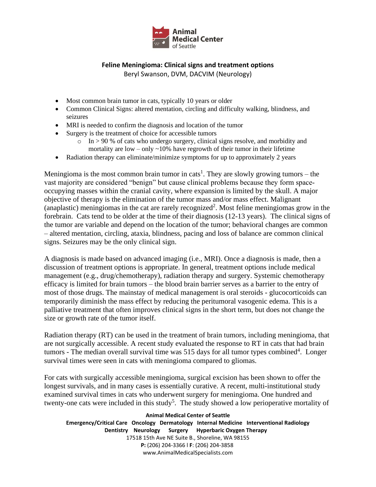

## **Feline Meningioma: Clinical signs and treatment options**

Beryl Swanson, DVM, DACVIM (Neurology)

- Most common brain tumor in cats, typically 10 years or older
- Common Clinical Signs: altered mentation, circling and difficulty walking, blindness, and seizures
- MRI is needed to confirm the diagnosis and location of the tumor
- Surgery is the treatment of choice for accessible tumors
	- $\circ$  In > 90 % of cats who undergo surgery, clinical signs resolve, and morbidity and mortality are low – only  $\sim$  10% have regrowth of their tumor in their lifetime
- Radiation therapy can eliminate/minimize symptoms for up to approximately 2 years

Meningioma is the most common brain tumor in cats<sup>1</sup>. They are slowly growing tumors – the vast majority are considered "benign" but cause clinical problems because they form space‐ occupying masses within the cranial cavity, where expansion is limited by the skull. A major objective of therapy is the elimination of the tumor mass and/or mass effect. Malignant (anaplastic) meningiomas in the cat are rarely recognized<sup>2</sup>. Most feline meningiomas grow in the forebrain. Cats tend to be older at the time of their diagnosis (12-13 years). The clinical signs of the tumor are variable and depend on the location of the tumor; behavioral changes are common – altered mentation, circling, ataxia, blindness, pacing and loss of balance are common clinical signs. Seizures may be the only clinical sign.

A diagnosis is made based on advanced imaging (i.e., MRI). Once a diagnosis is made, then a discussion of treatment options is appropriate. In general, treatment options include medical management (e.g., drug/chemotherapy), radiation therapy and surgery. Systemic chemotherapy efficacy is limited for brain tumors – the blood brain barrier serves as a barrier to the entry of most of those drugs. The mainstay of medical management is oral steroids - glucocorticoids can temporarily diminish the mass effect by reducing the peritumoral vasogenic edema. This is a palliative treatment that often improves clinical signs in the short term, but does not change the size or growth rate of the tumor itself.

Radiation therapy (RT) can be used in the treatment of brain tumors, including meningioma, that are not surgically accessible. A recent study evaluated the response to RT in cats that had brain tumors - The median overall survival time was  $515$  days for all tumor types combined<sup>4</sup>. Longer survival times were seen in cats with meningioma compared to gliomas.

For cats with surgically accessible meningioma, surgical excision has been shown to offer the longest survivals, and in many cases is essentially curative. A recent, multi-institutional study examined survival times in cats who underwent surgery for meningioma. One hundred and twenty-one cats were included in this study<sup>5</sup>. The study showed a low perioperative mortality of

**Animal Medical Center of Seattle Emergency/Critical Care Oncology Dermatology Internal Medicine Interventional Radiology Dentistry Neurology Surgery Hyperbaric Oxygen Therapy**  17518 15th Ave NE Suite B., Shoreline, WA 98155 **P:** (206) 204‐3366 l **F**: (206) 204‐3858 www.AnimalMedicalSpecialists.com